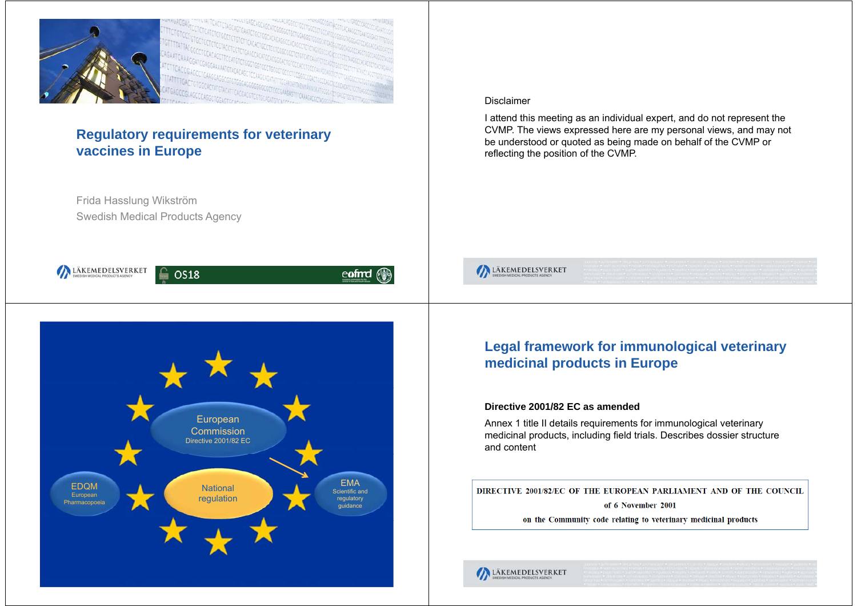

LÄKEMEDELSVERKET

# **Regulatory requirements for veterinary vaccines in Europe**

Frida Hasslung Wikström Swedish Medical Products Agency

# **OS18** eofmd European CommissionDirective 2001/82 ECEMAEDQMNational Scientific and **European** regulation regulatory Pharmacopoeia guidance

#### Disclaimer

I attend this meeting as an individual expert, and do not represent the CVMP. The views expressed here are my personal views, and may not be understood or quoted as being made on behalf of the CVMP or reflecting the position of the CVMP.



# **Legal framework for immunological veterinary medicinal products in Europe**

#### **Directive 2001/82 EC as amended**

Annex 1 title II details requirements for immunological veterinary medicinal products, including field trials. Describes dossier structure and content

DIRECTIVE 2001/82/EC OF THE EUROPEAN PARLIAMENT AND OF THE COUNCIL

of 6 November 2001

on the Community code relating to veterinary medicinal products

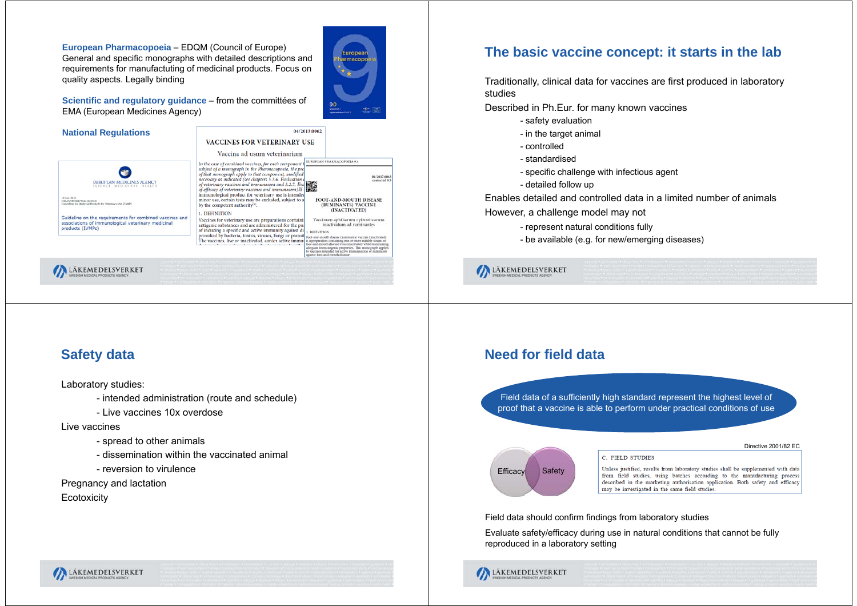**European Pharmacopoeia** – EDQM (Council of Europe) General and specific monographs with detailed descriptions and requirements for manufactuting of medicinal products. Focus on quality aspects. Legally binding



**Scientific and regulatory quidance – from the committées of** EMA (European Medicines Agency)



# **The basic vaccine concept: it starts in the lab**

Traditionally, clinical data for vaccines are first produced in laboratory studies

Described in Ph.Eur. for many known vaccines

- safety evaluation
- in the target animal
- controlled
- standardised
- specific challenge with infectious agent
- detailed follow up

Enables detailed and controlled data in a limited number of animals

However, a challenge model may not

- represent natural conditions fully
- be available (e.g. for new/emerging diseases)

LÄKEMEDELSVERKET

# **Safety data**

Laboratory studies:

- intended administration (route and schedule)
- Live vaccines 10x overdose

Live vaccines

- spread to other animals
- dissemination within the vaccinated animal
- reversion to virulence

Pregnancy and lactation

**Ecotoxicity** 

LÄKEMEDELSVERKET

# **Need for field data**

Field data of a sufficiently high standard represent the highest level of proof that a vaccine is able to perform under practical conditions of use

# Efficacy Safety

Directive 2001/82 EC

C. FIELD STUDIES

Unless justified, results from laboratory studies shall be supplemented with data from field studies, using batches according to the manufacturing process described in the marketing authorisation application. Both safety and efficacy may be investigated in the same field studies.

Field data should confirm findings from laboratory studies

Evaluate safety/efficacy during use in natural conditions that cannot be fully reproduced in a laboratory setting

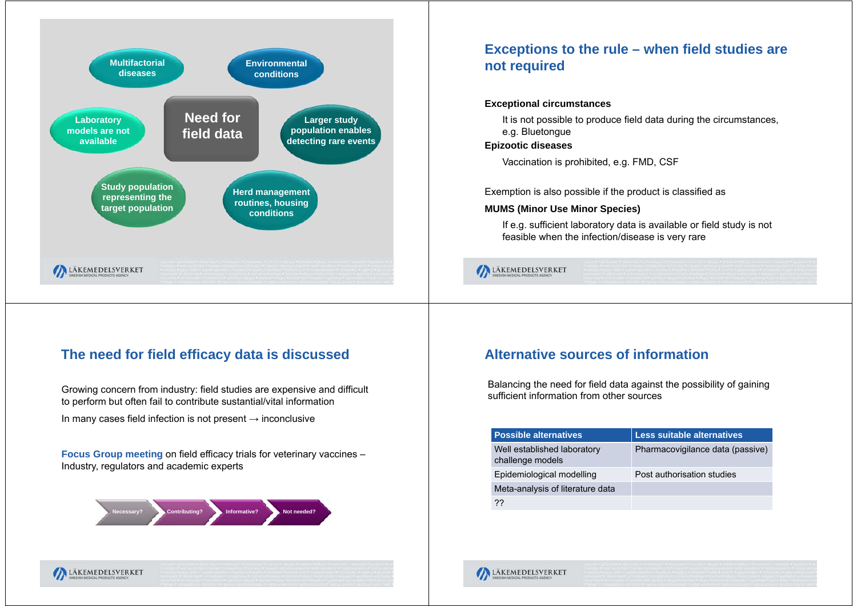

# **The need for field efficacy data is discussed**

Growing concern from industry: field studies are expensive and difficult to perform but often fail to contribute sustantial/vital information

In many cases field infection is not present  $\rightarrow$  inconclusive

**Focus Group meeting** on field efficacy trials for veterinary vaccines – Industry, regulators and academic experts



# **Exceptions to the rule – when field studies are not required**

#### **Exceptional circumstances**

It is not possible to produce field data during the circumstances, e.g. Bluetongue

#### **Epizootic diseases**

Vaccination is prohibited, e.g. FMD, CSF

Exemption is also possible if the product is classified as

#### **MUMS (Minor Use Minor Species)**

If e.g. sufficient laboratory data is available or field study is not feasible when the infection/disease is very rare

LÄKEMEDELSVERKET

# **Alternative sources of information**

Balancing the need for field data against the possibility of gaining sufficient information from other sources

| <b>Possible alternatives.</b>                   | <b>Less suitable alternatives</b> |
|-------------------------------------------------|-----------------------------------|
| Well established laboratory<br>challenge models | Pharmacovigilance data (passive)  |
| Epidemiological modelling                       | Post authorisation studies        |
| Meta-analysis of literature data                |                                   |
| ??                                              |                                   |

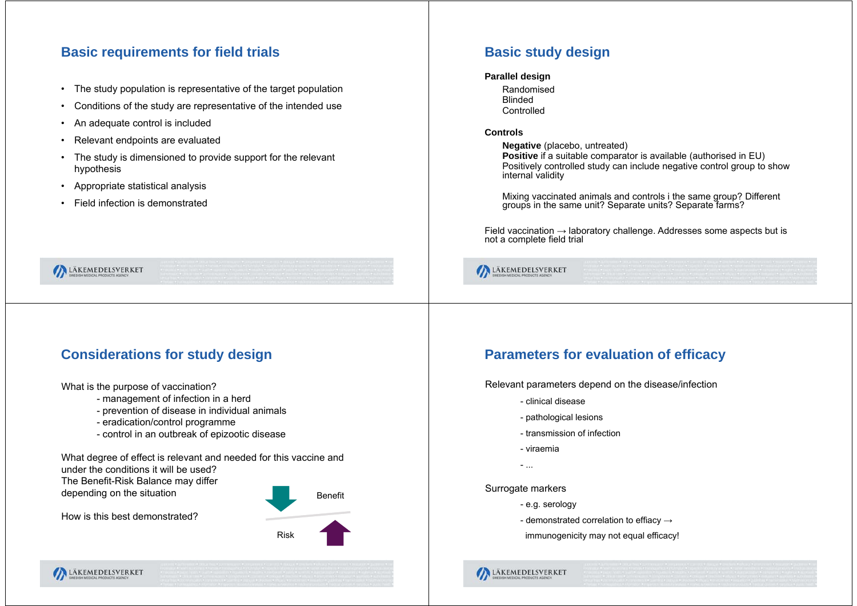# **Basic requirements for field trials**

- •The study population is representative of the target population
- •Conditions of the study are representative of the intended use
- •An adequate control is included
- •Relevant endpoints are evaluated
- • The study is dimensioned to provide support for the relevant hypothesis
- •Appropriate statistical analysis
- •Field infection is demonstrated

LÄKEMEDELSVERKET

# **Basic study design**

#### **Parallel design**

RandomisedBlinded**Controlled** 

#### **Controls**

**Negative** (placebo, untreated) **Positive** if a suitable comparator is available (authorised in EU) Positively controlled study can include negative control group to show internal validity

Mixing vaccinated animals and controls i the same group? Different groups in the same unit? Separate units? Separate farms?

Field vaccination  $\rightarrow$  laboratory challenge. Addresses some aspects but is not a complete field trial

LÄKEMEDELSVERKET

# **Considerations for study design**

What is the purpose of vaccination?

How is this best demonstrated?

- management of infection in a herd
- prevention of disease in individual animals
- eradication/control programme
- control in an outbreak of epizootic disease

What degree of effect is relevant and needed for this vaccine and under the conditions it will be used?The Benefit-Risk Balance may differ depending on the situation

BenefitRisk

# **Parameters for evaluation of efficacy**

Relevant parameters depend on the disease/infection

- clinical disease
- pathological lesions
- transmission of infection
- viraemia
- ...
- Surrogate markers

LÄKEMEDELSVERKET

- e.g. serology
- demonstrated correlation to effiacy  $\rightarrow$
- immunogenicity may not equal efficacy!

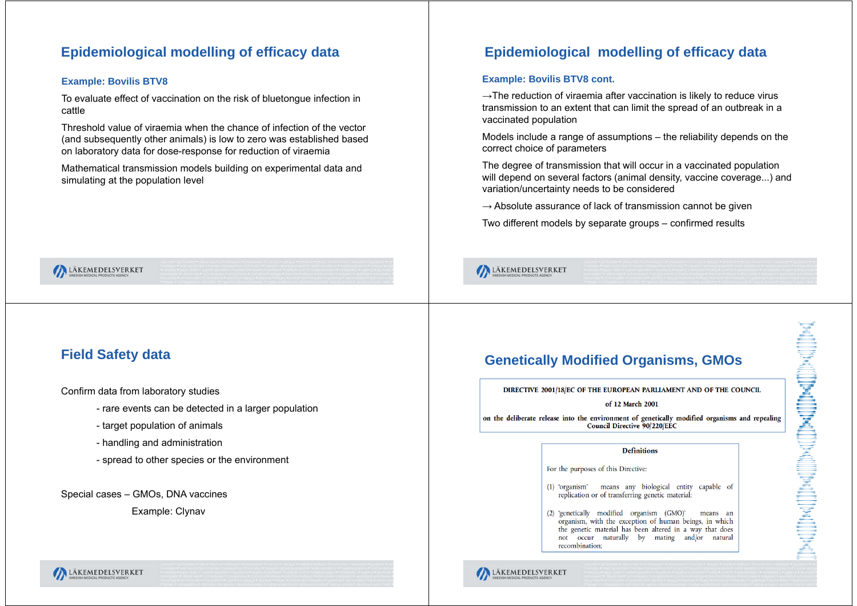# **Epidemiological modelling of efficacy data**

#### **Example: Bovilis BTV8**

To evaluate effect of vaccination on the risk of bluetongue infection in cattle

Threshold value of viraemia when the chance of infection of the vector(and subsequently other animals) is low to zero was established based on laboratory data for dose-response for reduction of viraemia

Mathematical transmission models building on experimental data and simulating at the population level

# **Epidemiological modelling of efficacy data**

#### **Example: Bovilis BTV8 cont.**

LÄKEMEDELSVERKET

 $\rightarrow$ The reduction of viraemia after vaccination is likely to reduce virus transmission to an extent that can limit the spread of an outbreak in a vaccinated population

Models include a range of assumptions – the reliability depends on the correct choice of parameters

The degree of transmission that will occur in a vaccinated population will depend on several factors (animal density, vaccine coverage...) and variation/uncertainty needs to be considered

 $\rightarrow$  Absolute assurance of lack of transmission cannot be given

Two different models by separate groups – confirmed results

LÄKEMEDELSVERKET

# **Field Safety data**

Confirm data from laboratory studies

- rare events can be detected in a larger population
- target population of animals
- handling and administration
- spread to other species or the environment

Special cases – GMOs, DNA vaccines Example: Clynav

**Genetically Modified Organisms, GMOs**

DIRECTIVE 2001/18/EC OF THE EUROPEAN PARLIAMENT AND OF THE COUNCIL

#### of 12 March 2001

on the deliberate release into the environment of genetically modified organisms and repealing **Council Directive 90/220/EEC** 

#### **Definitions**

For the purposes of this Directive:

- (1) 'organism' means any biological entity capable of replication or of transferring genetic material;
- (2) 'genetically modified organism (GMO)' means an organism, with the exception of human beings, in which the genetic material has been altered in a way that does not occur naturally by mating and/or natural recombination:



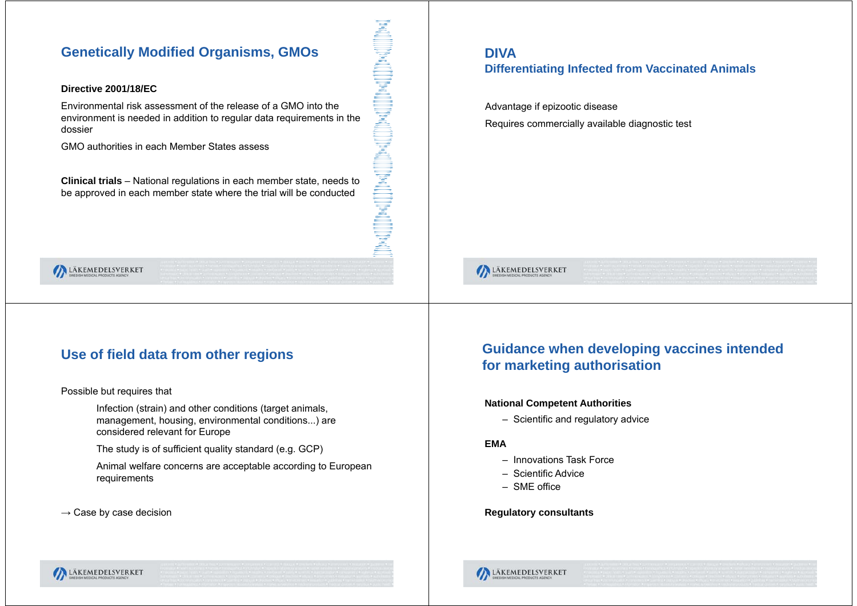# **Genetically Modified Organisms, GMOs**<br>Directive 2001/18/EC<br>Difference 2001/18/EC

#### **Directive 2001/18/EC**

Environmental risk assessment of the release of a GMO into the environment is needed in addition to regular data requirements in the dossier

GMO authorities in each Member States assess

**Clinical trials** – National regulations in each member state, needs to be approved in each member state where the trial will be conducted

# **Differentiating Infected from Vaccinated Animals**

Advantage if epizootic disease Requires commercially available diagnostic test



#### LÄKEMEDELSVERKET

# **Use of field data from other regions**

Possible but requires that

Infection (strain) and other conditions (target animals, management, housing, environmental conditions...) are considered relevant for Europe

The study is of sufficient quality standard (e.g. GCP)

Animal welfare concerns are acceptable according to European requirements

 $\rightarrow$  Case by case decision

# **Guidance when developing vaccines intended for marketing authorisation**

#### **National Competent Authorities**

– Scientific and regulatory advice

#### **EMA**

- Innovations Task Force
- Scientific Advice
- SME office

#### **Regulatory consultants**